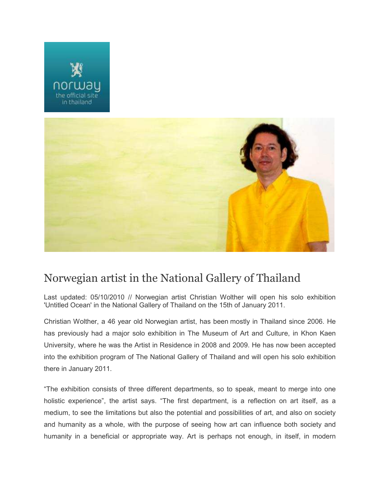



## Norwegian artist in the National Gallery of Thailand

Last updated: 05/10/2010 // Norwegian artist Christian Wolther will open his solo exhibition 'Untitled Ocean' in the National Gallery of Thailand on the 15th of January 2011.

Christian Wolther, a 46 year old Norwegian artist, has been mostly in Thailand since 2006. He has previously had a major solo exhibition in The Museum of Art and Culture, in Khon Kaen University, where he was the Artist in Residence in 2008 and 2009. He has now been accepted into the exhibition program of The National Gallery of Thailand and will open his solo exhibition there in January 2011.

"The exhibition consists of three different departments, so to speak, meant to merge into one holistic experience", the artist says. "The first department, is a reflection on art itself, as a medium, to see the limitations but also the potential and possibilities of art, and also on society and humanity as a whole, with the purpose of seeing how art can influence both society and humanity in a beneficial or appropriate way. Art is perhaps not enough, in itself, in modern